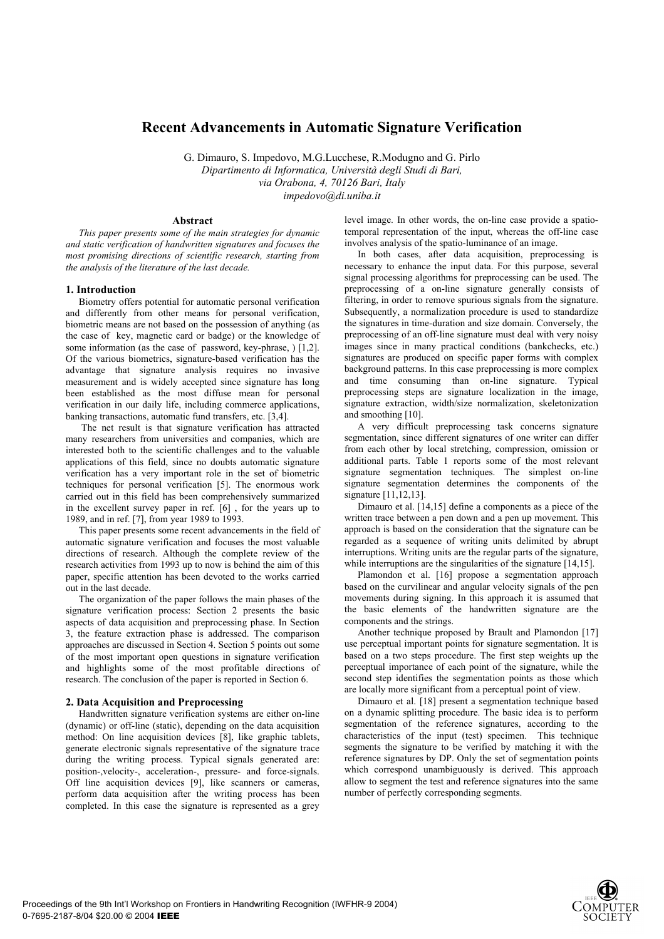# **Recent Advancements in Automatic Signature Verification**

G. Dimauro, S. Impedovo, M.G.Lucchese, R.Modugno and G. Pirlo *Dipartimento di Informatica, Università degli Studi di Bari, via Orabona, 4, 70126 Bari, Italy impedovo@di.uniba.it*

#### **Abstract**

*This paper presents some of the main strategies for dynamic and static verification of handwritten signatures and focuses the most promising directions of scientific research, starting from the analysis of the literature of the last decade.* 

#### **1. Introduction**

Biometry offers potential for automatic personal verification and differently from other means for personal verification, biometric means are not based on the possession of anything (as the case of key, magnetic card or badge) or the knowledge of some information (as the case of password, key-phrase, ) [1,2]. Of the various biometrics, signature-based verification has the advantage that signature analysis requires no invasive measurement and is widely accepted since signature has long been established as the most diffuse mean for personal verification in our daily life, including commerce applications, banking transactions, automatic fund transfers, etc. [3,4].

 The net result is that signature verification has attracted many researchers from universities and companies, which are interested both to the scientific challenges and to the valuable applications of this field, since no doubts automatic signature verification has a very important role in the set of biometric techniques for personal verification [5]. The enormous work carried out in this field has been comprehensively summarized in the excellent survey paper in ref. [6] , for the years up to 1989, and in ref. [7], from year 1989 to 1993.

This paper presents some recent advancements in the field of automatic signature verification and focuses the most valuable directions of research. Although the complete review of the research activities from 1993 up to now is behind the aim of this paper, specific attention has been devoted to the works carried out in the last decade.

The organization of the paper follows the main phases of the signature verification process: Section 2 presents the basic aspects of data acquisition and preprocessing phase. In Section 3, the feature extraction phase is addressed. The comparison approaches are discussed in Section 4. Section 5 points out some of the most important open questions in signature verification and highlights some of the most profitable directions of research. The conclusion of the paper is reported in Section 6.

## **2. Data Acquisition and Preprocessing**

Handwritten signature verification systems are either on-line (dynamic) or off-line (static), depending on the data acquisition method: On line acquisition devices [8], like graphic tablets, generate electronic signals representative of the signature trace during the writing process. Typical signals generated are: position-,velocity-, acceleration-, pressure- and force-signals. Off line acquisition devices [9], like scanners or cameras, perform data acquisition after the writing process has been completed. In this case the signature is represented as a grey level image. In other words, the on-line case provide a spatiotemporal representation of the input, whereas the off-line case involves analysis of the spatio-luminance of an image.

In both cases, after data acquisition, preprocessing is necessary to enhance the input data. For this purpose, several signal processing algorithms for preprocessing can be used. The preprocessing of a on-line signature generally consists of filtering, in order to remove spurious signals from the signature. Subsequently, a normalization procedure is used to standardize the signatures in time-duration and size domain. Conversely, the preprocessing of an off-line signature must deal with very noisy images since in many practical conditions (bankchecks, etc.) signatures are produced on specific paper forms with complex background patterns. In this case preprocessing is more complex and time consuming than on-line signature. Typical preprocessing steps are signature localization in the image, signature extraction, width/size normalization, skeletonization and smoothing [10].

A very difficult preprocessing task concerns signature segmentation, since different signatures of one writer can differ from each other by local stretching, compression, omission or additional parts. Table 1 reports some of the most relevant signature segmentation techniques. The simplest on-line signature segmentation determines the components of the signature [11,12,13].

Dimauro et al. [14,15] define a components as a piece of the written trace between a pen down and a pen up movement. This approach is based on the consideration that the signature can be regarded as a sequence of writing units delimited by abrupt interruptions. Writing units are the regular parts of the signature, while interruptions are the singularities of the signature [14,15].

Plamondon et al. [16] propose a segmentation approach based on the curvilinear and angular velocity signals of the pen movements during signing. In this approach it is assumed that the basic elements of the handwritten signature are the components and the strings.

Another technique proposed by Brault and Plamondon [17] use perceptual important points for signature segmentation. It is based on a two steps procedure. The first step weights up the perceptual importance of each point of the signature, while the second step identifies the segmentation points as those which are locally more significant from a perceptual point of view.

Dimauro et al. [18] present a segmentation technique based on a dynamic splitting procedure. The basic idea is to perform segmentation of the reference signatures, according to the characteristics of the input (test) specimen. This technique segments the signature to be verified by matching it with the reference signatures by DP. Only the set of segmentation points which correspond unambiguously is derived. This approach allow to segment the test and reference signatures into the same number of perfectly corresponding segments.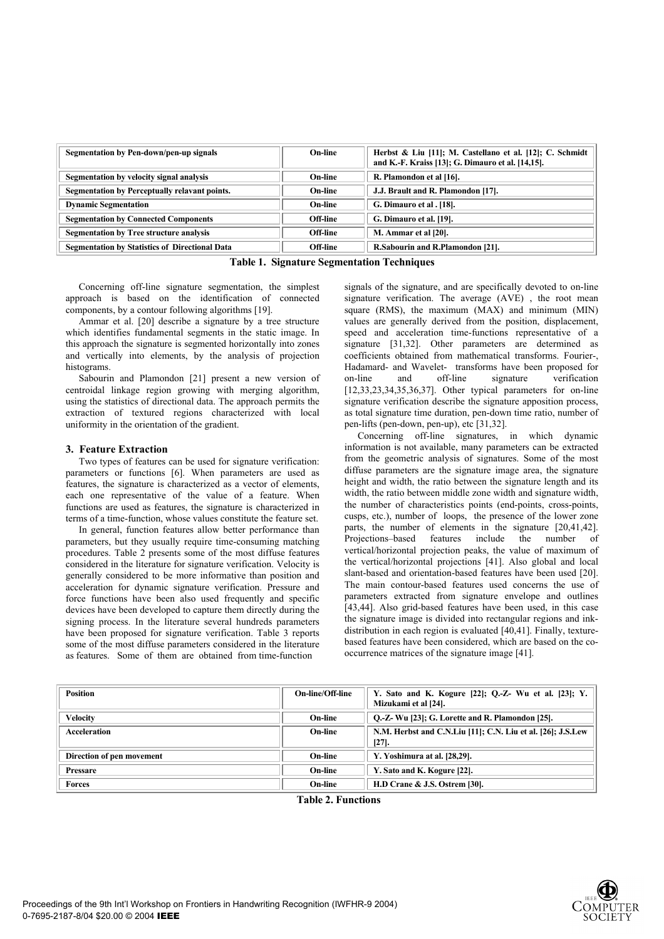| Segmentation by Pen-down/pen-up signals               | <b>On-line</b> | Herbst & Liu [11]; M. Castellano et al. [12]; C. Schmidt<br>and K.-F. Kraiss [13]; G. Dimauro et al. [14,15]. |
|-------------------------------------------------------|----------------|---------------------------------------------------------------------------------------------------------------|
| Segmentation by velocity signal analysis              | On-line        | R. Plamondon et al [16].                                                                                      |
| Segmentation by Perceptually relavant points.         | On-line        | J.J. Brault and R. Plamondon [17].                                                                            |
| <b>Dynamic Segmentation</b>                           | On-line        | G. Dimauro et al. [18].                                                                                       |
| <b>Segmentation by Connected Components</b>           | Off-line       | G. Dimauro et al. [19].                                                                                       |
| <b>Segmentation by Tree structure analysis</b>        | Off-line       | M. Ammar et al [20].                                                                                          |
| <b>Segmentation by Statistics of Directional Data</b> | Off-line       | R.Sabourin and R.Plamondon [21].                                                                              |

**Table 1. Signature Segmentation Techniques** 

Concerning off-line signature segmentation, the simplest approach is based on the identification of connected components, by a contour following algorithms [19].

Ammar et al. [20] describe a signature by a tree structure which identifies fundamental segments in the static image. In this approach the signature is segmented horizontally into zones and vertically into elements, by the analysis of projection histograms.

Sabourin and Plamondon [21] present a new version of centroidal linkage region growing with merging algorithm, using the statistics of directional data. The approach permits the extraction of textured regions characterized with local uniformity in the orientation of the gradient.

## **3. Feature Extraction**

Two types of features can be used for signature verification: parameters or functions [6]. When parameters are used as features, the signature is characterized as a vector of elements, each one representative of the value of a feature. When functions are used as features, the signature is characterized in terms of a time-function, whose values constitute the feature set.

In general, function features allow better performance than parameters, but they usually require time-consuming matching procedures. Table 2 presents some of the most diffuse features considered in the literature for signature verification. Velocity is generally considered to be more informative than position and acceleration for dynamic signature verification. Pressure and force functions have been also used frequently and specific devices have been developed to capture them directly during the signing process. In the literature several hundreds parameters have been proposed for signature verification. Table 3 reports some of the most diffuse parameters considered in the literature as features. Some of them are obtained from time-function

signals of the signature, and are specifically devoted to on-line signature verification. The average (AVE) , the root mean square (RMS), the maximum (MAX) and minimum (MIN) values are generally derived from the position, displacement, speed and acceleration time-functions representative of a signature [31,32]. Other parameters are determined as coefficients obtained from mathematical transforms. Fourier-, Hadamard- and Wavelet- transforms have been proposed for on-line and off-line signature verification on-line and off-line signature verification [12,33,23,34,35,36,37]. Other typical parameters for on-line signature verification describe the signature apposition process, as total signature time duration, pen-down time ratio, number of pen-lifts (pen-down, pen-up), etc [31,32].

Concerning off-line signatures, in which dynamic information is not available, many parameters can be extracted from the geometric analysis of signatures. Some of the most diffuse parameters are the signature image area, the signature height and width, the ratio between the signature length and its width, the ratio between middle zone width and signature width, the number of characteristics points (end-points, cross-points, cusps, etc.), number of loops, the presence of the lower zone parts, the number of elements in the signature [20,41,42]. Projections–based features include the number of vertical/horizontal projection peaks, the value of maximum of the vertical/horizontal projections [41]. Also global and local slant-based and orientation-based features have been used [20]. The main contour-based features used concerns the use of parameters extracted from signature envelope and outlines [43,44]. Also grid-based features have been used, in this case the signature image is divided into rectangular regions and inkdistribution in each region is evaluated [40,41]. Finally, texturebased features have been considered, which are based on the cooccurrence matrices of the signature image [41].

| <b>Position</b>           | On-line/Off-line | Y. Sato and K. Kogure [22]; Q.-Z. Wu et al. [23]; Y.<br>Mizukami et al [24]. |
|---------------------------|------------------|------------------------------------------------------------------------------|
| <b>Velocity</b>           | On-line          | O.-Z-Wu [23]; G. Lorette and R. Plamondon [25].                              |
| Acceleration              | On-line          | N.M. Herbst and C.N.Liu [11]; C.N. Liu et al. [26]; J.S.Lew<br>[27]          |
| Direction of pen movement | On-line          | Y. Yoshimura at al. [28,29].                                                 |
| <b>Pressare</b>           | On-line          | Y. Sato and K. Kogure [22].                                                  |
| Forces                    | <b>On-line</b>   | H.D Crane & J.S. Ostrem [30].                                                |

**Table 2. Functions**

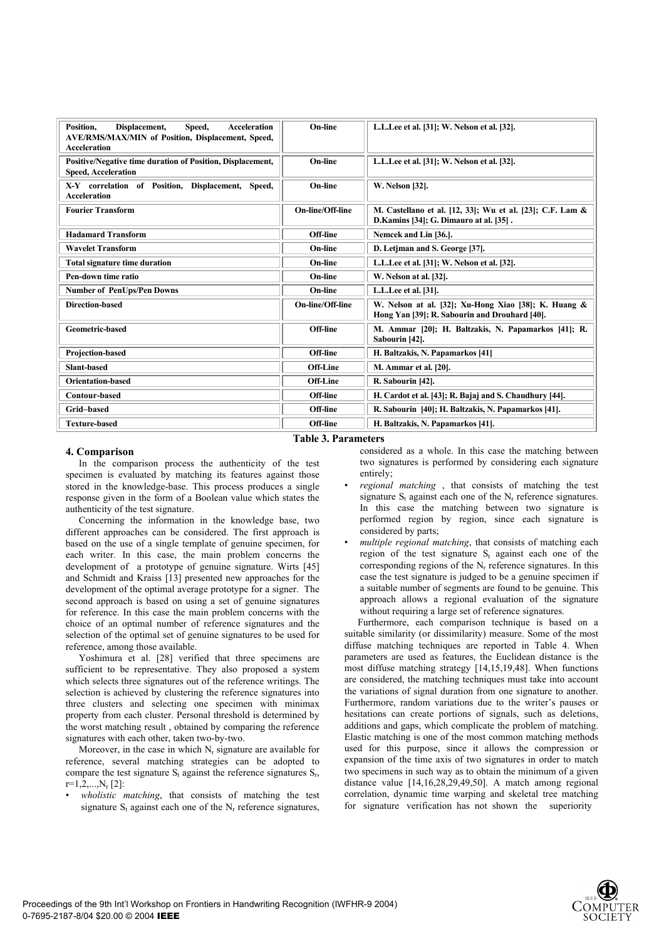| <b>Acceleration</b><br>Position.<br>Displacement.<br>Speed.<br>AVE/RMS/MAX/MIN of Position, Displacement, Speed,<br><b>Acceleration</b> | On-line          | L.L. Lee et al. [31]; W. Nelson et al. [32].                                                          |
|-----------------------------------------------------------------------------------------------------------------------------------------|------------------|-------------------------------------------------------------------------------------------------------|
| Positive/Negative time duration of Position, Displacement,<br><b>Speed, Acceleration</b>                                                | On-line          | L.L. Lee et al. [31]; W. Nelson et al. [32].                                                          |
| X-Y correlation of Position, Displacement, Speed,<br><b>Acceleration</b>                                                                | <b>On-line</b>   | W. Nelson [32].                                                                                       |
| <b>Fourier Transform</b>                                                                                                                | On-line/Off-line | M. Castellano et al. [12, 33]; Wu et al. [23]; C.F. Lam &<br>D. Kamins [34]; G. Dimauro at al. [35].  |
| <b>Hadamard Transform</b>                                                                                                               | <b>Off-line</b>  | Nemcek and Lin [36.].                                                                                 |
| <b>Wavelet Transform</b>                                                                                                                | <b>On-line</b>   | D. Letjman and S. George [37].                                                                        |
| <b>Total signature time duration</b>                                                                                                    | <b>On-line</b>   | L.L.Lee et al. [31]; W. Nelson et al. [32].                                                           |
| Pen-down time ratio                                                                                                                     | <b>On-line</b>   | W. Nelson at al. [32].                                                                                |
| <b>Number of PenUps/Pen Downs</b>                                                                                                       | On-line          | L.L.Lee et al. [31].                                                                                  |
| <b>Direction-based</b>                                                                                                                  | On-line/Off-line | W. Nelson at al. [32]; Xu-Hong Xiao [38]; K. Huang &<br>Hong Yan [39]; R. Sabourin and Drouhard [40]. |
| <b>Geometric-based</b>                                                                                                                  | Off-line         | M. Ammar [20]; H. Baltzakis, N. Papamarkos [41]; R.<br>Sabourin [42].                                 |
| <b>Projection-based</b>                                                                                                                 | Off-line         | H. Baltzakis, N. Papamarkos [41]                                                                      |
| <b>Slant-based</b>                                                                                                                      | <b>Off-Line</b>  | <b>M. Ammar et al. [20].</b>                                                                          |
| <b>Orientation-based</b>                                                                                                                | Off-Line         | R. Sabourin [42].                                                                                     |
| <b>Contour-based</b>                                                                                                                    | <b>Off-line</b>  | H. Cardot et al. [43]; R. Bajaj and S. Chaudhury [44].                                                |
| Grid-based                                                                                                                              | <b>Off-line</b>  | R. Sabourin [40]; H. Baltzakis, N. Papamarkos [41].                                                   |
| <b>Texture-based</b>                                                                                                                    | <b>Off-line</b>  | H. Baltzakis, N. Papamarkos [41].                                                                     |

## **Table 3. Parameters**

#### **4. Comparison**

In the comparison process the authenticity of the test specimen is evaluated by matching its features against those stored in the knowledge-base. This process produces a single response given in the form of a Boolean value which states the authenticity of the test signature.

Concerning the information in the knowledge base, two different approaches can be considered. The first approach is based on the use of a single template of genuine specimen, for each writer. In this case, the main problem concerns the development of a prototype of genuine signature. Wirts [45] and Schmidt and Kraiss [13] presented new approaches for the development of the optimal average prototype for a signer. The second approach is based on using a set of genuine signatures for reference. In this case the main problem concerns with the choice of an optimal number of reference signatures and the selection of the optimal set of genuine signatures to be used for reference, among those available.

Yoshimura et al. [28] verified that three specimens are sufficient to be representative. They also proposed a system which selects three signatures out of the reference writings. The selection is achieved by clustering the reference signatures into three clusters and selecting one specimen with minimax property from each cluster. Personal threshold is determined by the worst matching result , obtained by comparing the reference signatures with each other, taken two-by-two.

Moreover, in the case in which  $N_r$  signature are available for reference, several matching strategies can be adopted to compare the test signature  $S_t$  against the reference signatures  $S_t$ ,  $r=1,2,...,N_r$  [2]:

wholistic matching, that consists of matching the test signature  $S_t$  against each one of the  $N_r$  reference signatures,

considered as a whole. In this case the matching between two signatures is performed by considering each signature entirely;

- *regional matching* , that consists of matching the test signature  $S_t$  against each one of the  $N_r$  reference signatures. In this case the matching between two signature is performed region by region, since each signature is considered by parts;
- *multiple regional matching*, that consists of matching each region of the test signature  $S_t$  against each one of the corresponding regions of the  $N_r$  reference signatures. In this case the test signature is judged to be a genuine specimen if a suitable number of segments are found to be genuine. This approach allows a regional evaluation of the signature without requiring a large set of reference signatures.

Furthermore, each comparison technique is based on a suitable similarity (or dissimilarity) measure. Some of the most diffuse matching techniques are reported in Table 4. When parameters are used as features, the Euclidean distance is the most diffuse matching strategy [14,15,19,48]. When functions are considered, the matching techniques must take into account the variations of signal duration from one signature to another. Furthermore, random variations due to the writer's pauses or hesitations can create portions of signals, such as deletions, additions and gaps, which complicate the problem of matching. Elastic matching is one of the most common matching methods used for this purpose, since it allows the compression or expansion of the time axis of two signatures in order to match two specimens in such way as to obtain the minimum of a given distance value [14,16,28,29,49,50]. A match among regional correlation, dynamic time warping and skeletal tree matching for signature verification has not shown the superiority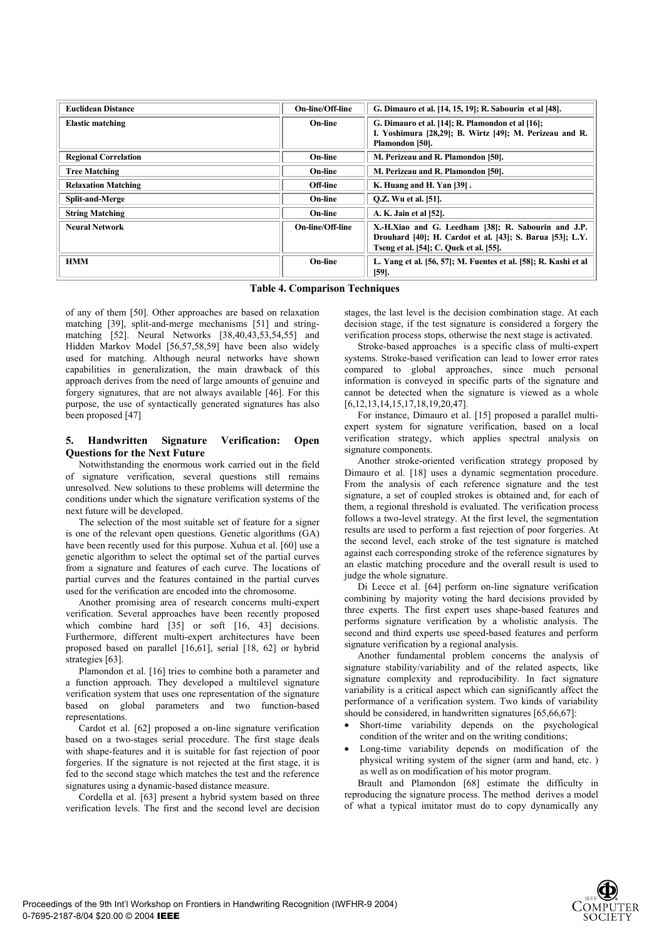| <b>Euclidean Distance</b>   | <b>On-line/Off-line</b> | G. Dimauro et al. [14, 15, 19]; R. Sabourin et al [48].                                                                                                     |
|-----------------------------|-------------------------|-------------------------------------------------------------------------------------------------------------------------------------------------------------|
| Elastic matching            | <b>On-line</b>          | G. Dimauro et al. [14]; R. Plamondon et al [16];<br>I. Yoshimura [28,29]; B. Wirtz [49]; M. Perizeau and R.<br>Plamondon [50].                              |
| <b>Regional Correlation</b> | <b>On-line</b>          | M. Perizeau and R. Plamondon [50].                                                                                                                          |
| <b>Tree Matching</b>        | <b>On-line</b>          | M. Perizeau and R. Plamondon [50].                                                                                                                          |
| <b>Relaxation Matching</b>  | Off-line                | K. Huang and H. Yan [39].                                                                                                                                   |
| <b>Split-and-Merge</b>      | <b>On-line</b>          | O.Z. Wu et al. [51].                                                                                                                                        |
| <b>String Matching</b>      | <b>On-line</b>          | A. K. Jain et al [52].                                                                                                                                      |
| <b>Neural Network</b>       | <b>On-line/Off-line</b> | X.-H.Xiao and G. Leedham [38]; R. Sabourin and J.P.<br>Drouhard [40]; H. Cardot et al. [43]; S. Barua [53]; L.Y.<br>Tseng et al. [54]; C. Quek et al. [55]. |
| <b>HMM</b>                  | <b>On-line</b>          | L. Yang et al. [56, 57]; M. Fuentes et al. [58]; R. Kashi et al.<br>$[59]$ .                                                                                |

**Table 4. Comparison Techniques**

of any of them [50]. Other approaches are based on relaxation matching [39], split-and-merge mechanisms [51] and stringmatching [52]. Neural Networks [38,40,43,53,54,55] and Hidden Markov Model [56,57,58,59] have been also widely used for matching. Although neural networks have shown capabilities in generalization, the main drawback of this approach derives from the need of large amounts of genuine and forgery signatures, that are not always available [46]. For this purpose, the use of syntactically generated signatures has also been proposed [47]

## **5. Handwritten Signature Verification: Open Questions for the Next Future**

Notwithstanding the enormous work carried out in the field of signature verification, several questions still remains unresolved. New solutions to these problems will determine the conditions under which the signature verification systems of the next future will be developed.

The selection of the most suitable set of feature for a signer is one of the relevant open questions. Genetic algorithms (GA) have been recently used for this purpose. Xuhua et al. [60] use a genetic algorithm to select the optimal set of the partial curves from a signature and features of each curve. The locations of partial curves and the features contained in the partial curves used for the verification are encoded into the chromosome.

Another promising area of research concerns multi-expert verification. Several approaches have been recently proposed which combine hard [35] or soft [16, 43] decisions. Furthermore, different multi-expert architectures have been proposed based on parallel [16,61], serial [18, 62] or hybrid strategies [63].

Plamondon et al. [16] tries to combine both a parameter and a function approach. They developed a multilevel signature verification system that uses one representation of the signature based on global parameters and two function-based representations.

Cardot et al. [62] proposed a on-line signature verification based on a two-stages serial procedure. The first stage deals with shape-features and it is suitable for fast rejection of poor forgeries. If the signature is not rejected at the first stage, it is fed to the second stage which matches the test and the reference signatures using a dynamic-based distance measure.

Cordella et al. [63] present a hybrid system based on three verification levels. The first and the second level are decision stages, the last level is the decision combination stage. At each decision stage, if the test signature is considered a forgery the verification process stops, otherwise the next stage is activated.

Stroke-based approaches is a specific class of multi-expert systems. Stroke-based verification can lead to lower error rates compared to global approaches, since much personal information is conveyed in specific parts of the signature and cannot be detected when the signature is viewed as a whole [6,12,13,14,15,17,18,19,20,47].

For instance, Dimauro et al. [15] proposed a parallel multiexpert system for signature verification, based on a local verification strategy, which applies spectral analysis on signature components.

Another stroke-oriented verification strategy proposed by Dimauro et al. [18] uses a dynamic segmentation procedure. From the analysis of each reference signature and the test signature, a set of coupled strokes is obtained and, for each of them, a regional threshold is evaluated. The verification process follows a two-level strategy. At the first level, the segmentation results are used to perform a fast rejection of poor forgeries. At the second level, each stroke of the test signature is matched against each corresponding stroke of the reference signatures by an elastic matching procedure and the overall result is used to judge the whole signature.

Di Lecce et al. [64] perform on-line signature verification combining by majority voting the hard decisions provided by three experts. The first expert uses shape-based features and performs signature verification by a wholistic analysis. The second and third experts use speed-based features and perform signature verification by a regional analysis.

Another fundamental problem concerns the analysis of signature stability/variability and of the related aspects, like signature complexity and reproducibility. In fact signature variability is a critical aspect which can significantly affect the performance of a verification system. Two kinds of variability should be considered, in handwritten signatures [65,66,67]:

- Short-time variability depends on the psychological condition of the writer and on the writing conditions;
- Long-time variability depends on modification of the physical writing system of the signer (arm and hand, etc. ) as well as on modification of his motor program.

Brault and Plamondon [68] estimate the difficulty in reproducing the signature process. The method derives a model of what a typical imitator must do to copy dynamically any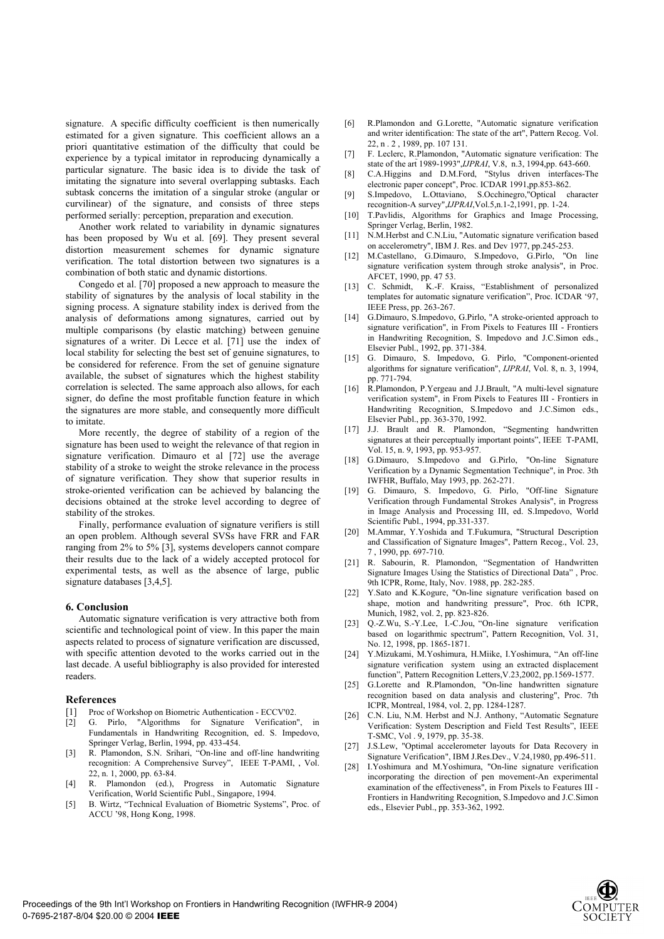signature. A specific difficulty coefficient is then numerically estimated for a given signature. This coefficient allows an a priori quantitative estimation of the difficulty that could be experience by a typical imitator in reproducing dynamically a particular signature. The basic idea is to divide the task of imitating the signature into several overlapping subtasks. Each subtask concerns the imitation of a singular stroke (angular or curvilinear) of the signature, and consists of three steps performed serially: perception, preparation and execution.

Another work related to variability in dynamic signatures has been proposed by Wu et al. [69]. They present several distortion measurement schemes for dynamic signature verification. The total distortion between two signatures is a combination of both static and dynamic distortions.

Congedo et al. [70] proposed a new approach to measure the stability of signatures by the analysis of local stability in the signing process. A signature stability index is derived from the analysis of deformations among signatures, carried out by multiple comparisons (by elastic matching) between genuine signatures of a writer. Di Lecce et al. [71] use the index of local stability for selecting the best set of genuine signatures, to be considered for reference. From the set of genuine signature available, the subset of signatures which the highest stability correlation is selected. The same approach also allows, for each signer, do define the most profitable function feature in which the signatures are more stable, and consequently more difficult to imitate.

More recently, the degree of stability of a region of the signature has been used to weight the relevance of that region in signature verification. Dimauro et al [72] use the average stability of a stroke to weight the stroke relevance in the process of signature verification. They show that superior results in stroke-oriented verification can be achieved by balancing the decisions obtained at the stroke level according to degree of stability of the strokes.

Finally, performance evaluation of signature verifiers is still an open problem. Although several SVSs have FRR and FAR ranging from 2% to 5% [3], systems developers cannot compare their results due to the lack of a widely accepted protocol for experimental tests, as well as the absence of large, public signature databases [3,4,5].

#### **6. Conclusion**

Automatic signature verification is very attractive both from scientific and technological point of view. In this paper the main aspects related to process of signature verification are discussed, with specific attention devoted to the works carried out in the last decade. A useful bibliography is also provided for interested readers.

#### **References**

- [1] Proc of Workshop on Biometric Authentication ECCV'02.
- [2] G. Pirlo, "Algorithms for Signature Verification", in Fundamentals in Handwriting Recognition, ed. S. Impedovo, Springer Verlag, Berlin, 1994, pp. 433-454.
- [3] R. Plamondon, S.N. Srihari, "On-line and off-line handwriting recognition: A Comprehensive Survey", IEEE T-PAMI, , Vol. 22, n. 1, 2000, pp. 63-84.
- [4] R. Plamondon (ed.), Progress in Automatic Signature Verification, World Scientific Publ., Singapore, 1994.
- [5] B. Wirtz, "Technical Evaluation of Biometric Systems", Proc. of ACCU '98, Hong Kong, 1998.
- [6] R.Plamondon and G.Lorette, "Automatic signature verification and writer identification: The state of the art", Pattern Recog. Vol. 22, n . 2 , 1989, pp. 107 131.
- [7] F. Leclerc, R.Plamondon, "Automatic signature verification: The state of the art 1989-1993",*IJPRAI*, V.8, n.3, 1994,pp. 643-660.
- [8] C.A.Higgins and D.M.Ford, "Stylus driven interfaces-The electronic paper concept", Proc. ICDAR 1991,pp.853-862.
- [9] S.Impedovo, L.Ottaviano, S.Occhinegro,"Optical character recognition-A survey",*IJPRAI*,Vol.5,n.1-2,1991, pp. 1-24.
- [10] T.Pavlidis, Algorithms for Graphics and Image Processing, Springer Verlag, Berlin, 1982.
- [11] N.M.Herbst and C.N.Liu, "Automatic signature verification based on accelerometry", IBM J. Res. and Dev 1977, pp.245-253.
- [12] M.Castellano, G.Dimauro, S.Impedovo, G.Pirlo, "On line signature verification system through stroke analysis", in Proc. AFCET, 1990, pp. 47 53.
- [13] C. Schmidt, K.-F. Kraiss, "Establishment of personalized templates for automatic signature verification", Proc. ICDAR '97, IEEE Press, pp. 263-267.
- [14] G.Dimauro, S.Impedovo, G.Pirlo, "A stroke-oriented approach to signature verification", in From Pixels to Features III - Frontiers in Handwriting Recognition, S. Impedovo and J.C.Simon eds., Elsevier Publ., 1992, pp. 371-384.
- [15] G. Dimauro, S. Impedovo, G. Pirlo, "Component-oriented algorithms for signature verification", *IJPRAI*, Vol. 8, n. 3, 1994, pp. 771-794.
- [16] R.Plamondon, P.Yergeau and J.J.Brault, "A multi-level signature verification system", in From Pixels to Features III - Frontiers in Handwriting Recognition, S.Impedovo and J.C.Simon eds., Elsevier Publ., pp. 363-370, 1992.
- [17] J.J. Brault and R. Plamondon, "Segmenting handwritten signatures at their perceptually important points", IEEE T-PAMI, Vol. 15, n. 9, 1993, pp. 953-957.
- [18] G.Dimauro, S.Impedovo and G.Pirlo, "On-line Signature Verification by a Dynamic Segmentation Technique", in Proc. 3th IWFHR, Buffalo, May 1993, pp. 262-271.
- [19] G. Dimauro, S. Impedovo, G. Pirlo, "Off-line Signature Verification through Fundamental Strokes Analysis", in Progress in Image Analysis and Processing III, ed. S.Impedovo, World Scientific Publ., 1994, pp.331-337.
- [20] M.Ammar, Y.Yoshida and T.Fukumura, "Structural Description and Classification of Signature Images", Pattern Recog., Vol. 23, 7 , 1990, pp. 697-710.
- [21] R. Sabourin, R. Plamondon, "Segmentation of Handwritten Signature Images Using the Statistics of Directional Data" , Proc. 9th ICPR, Rome, Italy, Nov. 1988, pp. 282-285.
- [22] Y.Sato and K.Kogure, "On-line signature verification based on shape, motion and handwriting pressure", Proc. 6th ICPR, Munich, 1982, vol. 2, pp. 823-826.
- [23] Q.-Z.Wu, S.-Y.Lee, I.-C.Jou, "On-line signature verification based on logarithmic spectrum", Pattern Recognition, Vol. 31, No. 12, 1998, pp. 1865-1871.
- [24] Y.Mizukami, M.Yoshimura, H.Miike, I.Yoshimura, "An off-line signature verification system using an extracted displacement function", Pattern Recognition Letters,V.23,2002, pp.1569-1577.
- [25] G.Lorette and R.Plamondon, "On-line handwritten signature recognition based on data analysis and clustering", Proc. 7th ICPR, Montreal, 1984, vol. 2, pp. 1284-1287.
- [26] C.N. Liu, N.M. Herbst and N.J. Anthony, "Automatic Segnature Verification: System Description and Field Test Results", IEEE T-SMC, Vol . 9, 1979, pp. 35-38.
- [27] J.S.Lew, "Optimal accelerometer layouts for Data Recovery in Signature Verification", IBM J.Res.Dev., V.24,1980, pp.496-511.
- [28] I.Yoshimura and M.Yoshimura, "On-line signature verification incorporating the direction of pen movement-An experimental examination of the effectiveness", in From Pixels to Features III - Frontiers in Handwriting Recognition, S.Impedovo and J.C.Simon eds., Elsevier Publ., pp. 353-362, 1992.